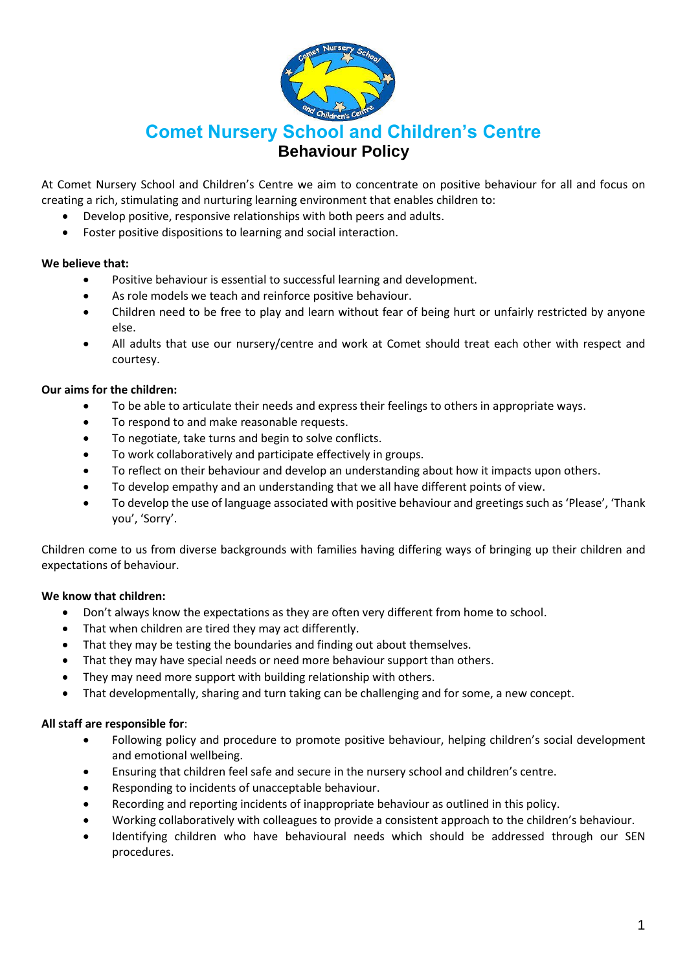

# **Comet Nursery School and Children's Centre Behaviour Policy**

At Comet Nursery School and Children's Centre we aim to concentrate on positive behaviour for all and focus on creating a rich, stimulating and nurturing learning environment that enables children to:

- Develop positive, responsive relationships with both peers and adults.
- Foster positive dispositions to learning and social interaction.

#### **We believe that:**

- Positive behaviour is essential to successful learning and development.
- As role models we teach and reinforce positive behaviour.
- Children need to be free to play and learn without fear of being hurt or unfairly restricted by anyone else.
- All adults that use our nursery/centre and work at Comet should treat each other with respect and courtesy.

## **Our aims for the children:**

- To be able to articulate their needs and express their feelings to others in appropriate ways.
- To respond to and make reasonable requests.
- To negotiate, take turns and begin to solve conflicts.
- To work collaboratively and participate effectively in groups.
- To reflect on their behaviour and develop an understanding about how it impacts upon others.
- To develop empathy and an understanding that we all have different points of view.
- To develop the use of language associated with positive behaviour and greetings such as 'Please', 'Thank you', 'Sorry'.

Children come to us from diverse backgrounds with families having differing ways of bringing up their children and expectations of behaviour.

## **We know that children:**

- Don't always know the expectations as they are often very different from home to school.
- That when children are tired they may act differently.
- That they may be testing the boundaries and finding out about themselves.
- That they may have special needs or need more behaviour support than others.
- They may need more support with building relationship with others.
- That developmentally, sharing and turn taking can be challenging and for some, a new concept.

## **All staff are responsible for**:

- Following policy and procedure to promote positive behaviour, helping children's social development and emotional wellbeing.
- Ensuring that children feel safe and secure in the nursery school and children's centre.
- Responding to incidents of unacceptable behaviour.
- Recording and reporting incidents of inappropriate behaviour as outlined in this policy.
- Working collaboratively with colleagues to provide a consistent approach to the children's behaviour.
- Identifying children who have behavioural needs which should be addressed through our SEN procedures.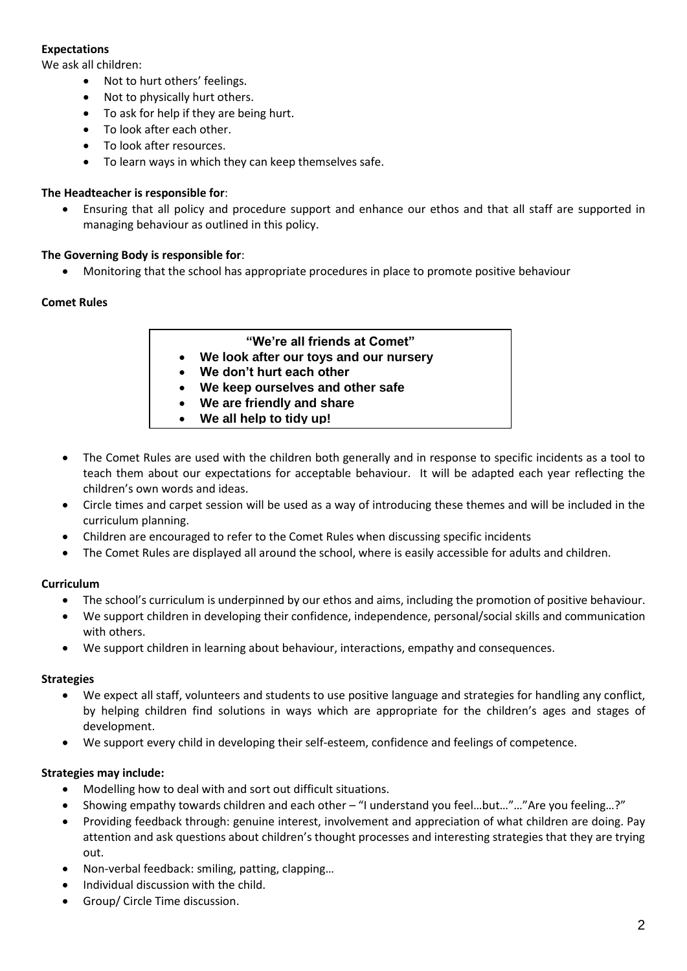# **Expectations**

We ask all children:

- Not to hurt others' feelings.
- Not to physically hurt others.
- To ask for help if they are being hurt.
- To look after each other.
- To look after resources.
- To learn ways in which they can keep themselves safe.

## **The Headteacher is responsible for**:

 Ensuring that all policy and procedure support and enhance our ethos and that all staff are supported in managing behaviour as outlined in this policy.

## **The Governing Body is responsible for**:

Monitoring that the school has appropriate procedures in place to promote positive behaviour

# **Comet Rules**

## **"We're all friends at Comet"**

- **We look after our toys and our nursery**
- **We don't hurt each other**
- **We keep ourselves and other safe**
- **We are friendly and share**
- **We all help to tidy up!**
- The Comet Rules are used with the children both generally and in response to specific incidents as a tool to teach them about our expectations for acceptable behaviour. It will be adapted each year reflecting the children's own words and ideas.
- Circle times and carpet session will be used as a way of introducing these themes and will be included in the curriculum planning.
- Children are encouraged to refer to the Comet Rules when discussing specific incidents
- The Comet Rules are displayed all around the school, where is easily accessible for adults and children.

## **Curriculum**

- The school's curriculum is underpinned by our ethos and aims, including the promotion of positive behaviour.
- We support children in developing their confidence, independence, personal/social skills and communication with others.
- We support children in learning about behaviour, interactions, empathy and consequences.

## **Strategies**

- We expect all staff, volunteers and students to use positive language and strategies for handling any conflict, by helping children find solutions in ways which are appropriate for the children's ages and stages of development.
- We support every child in developing their self-esteem, confidence and feelings of competence.

## **Strategies may include:**

- Modelling how to deal with and sort out difficult situations.
- Showing empathy towards children and each other "I understand you feel…but…"…"Are you feeling…?"
- Providing feedback through: genuine interest, involvement and appreciation of what children are doing. Pay attention and ask questions about children's thought processes and interesting strategies that they are trying out.
- Non-verbal feedback: smiling, patting, clapping…
- Individual discussion with the child.
- Group/ Circle Time discussion.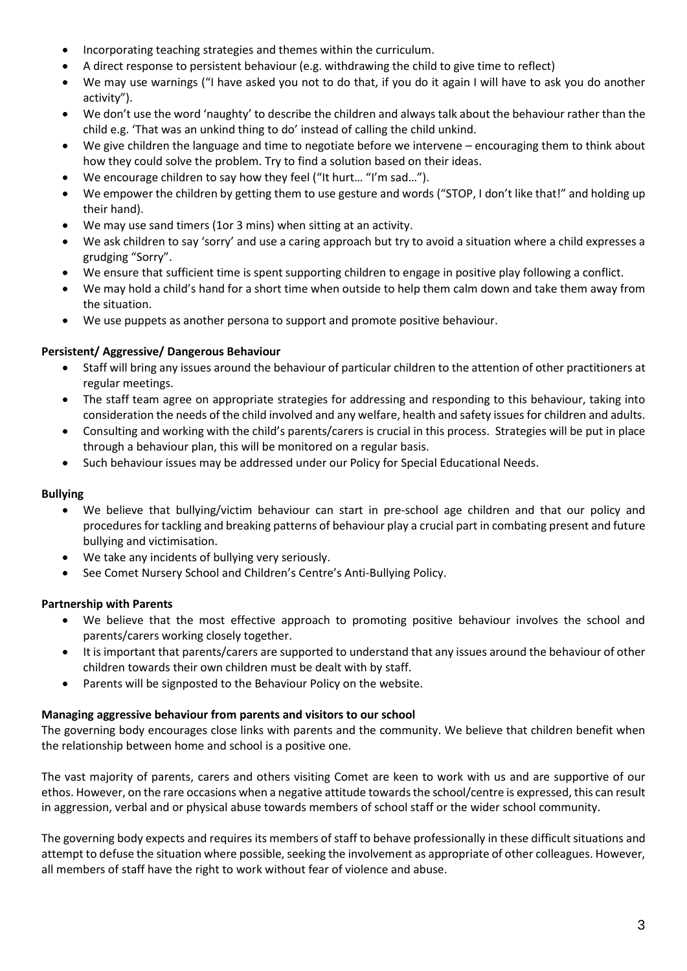- Incorporating teaching strategies and themes within the curriculum.
- A direct response to persistent behaviour (e.g. withdrawing the child to give time to reflect)
- We may use warnings ("I have asked you not to do that, if you do it again I will have to ask you do another activity").
- We don't use the word 'naughty' to describe the children and always talk about the behaviour rather than the child e.g. 'That was an unkind thing to do' instead of calling the child unkind.
- We give children the language and time to negotiate before we intervene encouraging them to think about how they could solve the problem. Try to find a solution based on their ideas.
- We encourage children to say how they feel ("It hurt... "I'm sad...").
- We empower the children by getting them to use gesture and words ("STOP, I don't like that!" and holding up their hand).
- We may use sand timers (1or 3 mins) when sitting at an activity.
- We ask children to say 'sorry' and use a caring approach but try to avoid a situation where a child expresses a grudging "Sorry".
- We ensure that sufficient time is spent supporting children to engage in positive play following a conflict.
- We may hold a child's hand for a short time when outside to help them calm down and take them away from the situation.
- We use puppets as another persona to support and promote positive behaviour.

# **Persistent/ Aggressive/ Dangerous Behaviour**

- Staff will bring any issues around the behaviour of particular children to the attention of other practitioners at regular meetings.
- The staff team agree on appropriate strategies for addressing and responding to this behaviour, taking into consideration the needs of the child involved and any welfare, health and safety issues for children and adults.
- Consulting and working with the child's parents/carers is crucial in this process. Strategies will be put in place through a behaviour plan, this will be monitored on a regular basis.
- Such behaviour issues may be addressed under our Policy for Special Educational Needs.

## **Bullying**

- We believe that bullying/victim behaviour can start in pre-school age children and that our policy and procedures for tackling and breaking patterns of behaviour play a crucial part in combating present and future bullying and victimisation.
- We take any incidents of bullying very seriously.
- See Comet Nursery School and Children's Centre's Anti-Bullying Policy.

## **Partnership with Parents**

- We believe that the most effective approach to promoting positive behaviour involves the school and parents/carers working closely together.
- It is important that parents/carers are supported to understand that any issues around the behaviour of other children towards their own children must be dealt with by staff.
- Parents will be signposted to the Behaviour Policy on the website.

## **Managing aggressive behaviour from parents and visitors to our school**

The governing body encourages close links with parents and the community. We believe that children benefit when the relationship between home and school is a positive one.

The vast majority of parents, carers and others visiting Comet are keen to work with us and are supportive of our ethos. However, on the rare occasions when a negative attitude towards the school/centre is expressed, this can result in aggression, verbal and or physical abuse towards members of school staff or the wider school community.

The governing body expects and requires its members of staff to behave professionally in these difficult situations and attempt to defuse the situation where possible, seeking the involvement as appropriate of other colleagues. However, all members of staff have the right to work without fear of violence and abuse.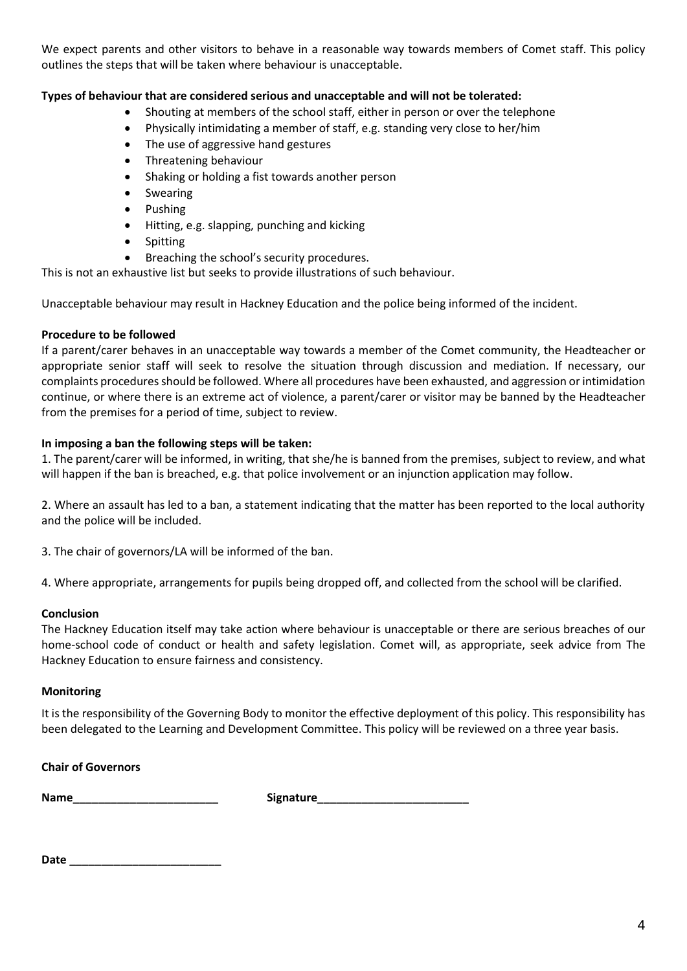We expect parents and other visitors to behave in a reasonable way towards members of Comet staff. This policy outlines the steps that will be taken where behaviour is unacceptable.

## **Types of behaviour that are considered serious and unacceptable and will not be tolerated:**

- Shouting at members of the school staff, either in person or over the telephone
- Physically intimidating a member of staff, e.g. standing very close to her/him
- The use of aggressive hand gestures
- Threatening behaviour
- Shaking or holding a fist towards another person
- Swearing
- Pushing
- Hitting, e.g. slapping, punching and kicking
- Spitting
- Breaching the school's security procedures.

This is not an exhaustive list but seeks to provide illustrations of such behaviour.

Unacceptable behaviour may result in Hackney Education and the police being informed of the incident.

## **Procedure to be followed**

If a parent/carer behaves in an unacceptable way towards a member of the Comet community, the Headteacher or appropriate senior staff will seek to resolve the situation through discussion and mediation. If necessary, our complaints procedures should be followed. Where all procedures have been exhausted, and aggression or intimidation continue, or where there is an extreme act of violence, a parent/carer or visitor may be banned by the Headteacher from the premises for a period of time, subject to review.

#### **In imposing a ban the following steps will be taken:**

1. The parent/carer will be informed, in writing, that she/he is banned from the premises, subject to review, and what will happen if the ban is breached, e.g. that police involvement or an injunction application may follow.

2. Where an assault has led to a ban, a statement indicating that the matter has been reported to the local authority and the police will be included.

3. The chair of governors/LA will be informed of the ban.

4. Where appropriate, arrangements for pupils being dropped off, and collected from the school will be clarified.

#### **Conclusion**

The Hackney Education itself may take action where behaviour is unacceptable or there are serious breaches of our home-school code of conduct or health and safety legislation. Comet will, as appropriate, seek advice from The Hackney Education to ensure fairness and consistency.

#### **Monitoring**

It is the responsibility of the Governing Body to monitor the effective deployment of this policy. This responsibility has been delegated to the Learning and Development Committee. This policy will be reviewed on a three year basis.

#### **Chair of Governors**

**Name\_\_\_\_\_\_\_\_\_\_\_\_\_\_\_\_\_\_\_\_\_\_\_ Signature\_\_\_\_\_\_\_\_\_\_\_\_\_\_\_\_\_\_\_\_\_\_\_\_**

**Date \_\_\_\_\_\_\_\_\_\_\_\_\_\_\_\_\_\_\_\_\_\_\_\_**